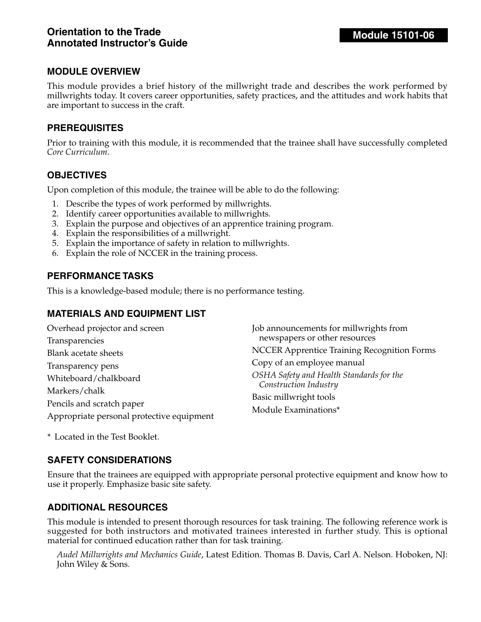This module provides a brief history of the millwright trade and describes the work performed by millwrights today. It covers career opportunities, safety practices, and the attitudes and work habits that are important to success in the craft.

#### **PREREQUISITES**

Prior to training with this module, it is recommended that the trainee shall have successfully completed *Core Curriculum*.

## **OBJECTIVES**

Upon completion of this module, the trainee will be able to do the following:

- 1. Describe the types of work performed by millwrights.
- 2. Identify career opportunities available to millwrights.
- 3. Explain the purpose and objectives of an apprentice training program.
- 4. Explain the responsibilities of a millwright.
- 5. Explain the importance of safety in relation to millwrights.
- 6. Explain the role of NCCER in the training process.

#### **PERFORMANCE TASKS**

This is a knowledge-based module; there is no performance testing.

#### **MATERIALS AND EQUIPMENT LIST**

| Overhead projector and screen             | Job announcements for millwrights from             |
|-------------------------------------------|----------------------------------------------------|
| Transparencies                            | newspapers or other resources                      |
| <b>Blank acetate sheets</b>               | <b>NCCER Apprentice Training Recognition Forms</b> |
| Transparency pens                         | Copy of an employee manual                         |
| Whiteboard/chalkboard                     | OSHA Safety and Health Standards for the           |
| Markers/chalk                             | Construction Industry                              |
| Pencils and scratch paper                 | Basic millwright tools                             |
| Appropriate personal protective equipment | Module Examinations*                               |

\* Located in the Test Booklet.

## **SAFETY CONSIDERATIONS**

Ensure that the trainees are equipped with appropriate personal protective equipment and know how to use it properly. Emphasize basic site safety.

## **ADDITIONAL RESOURCES**

This module is intended to present thorough resources for task training. The following reference work is suggested for both instructors and motivated trainees interested in further study. This is optional material for continued education rather than for task training.

*Audel Millwrights and Mechanics Guide*, Latest Edition. Thomas B. Davis, Carl A. Nelson. Hoboken, NJ: John Wiley & Sons.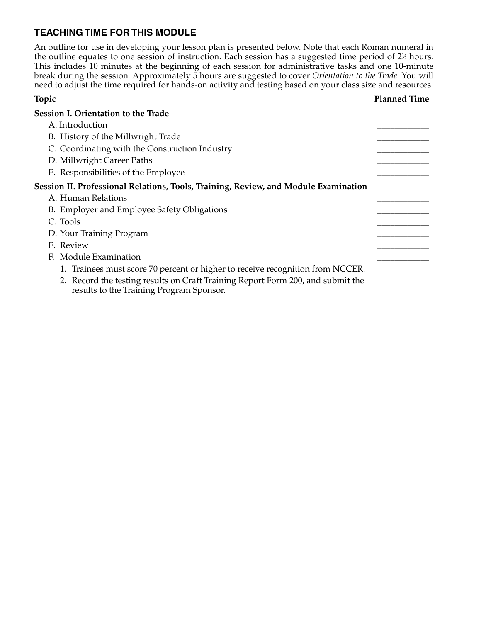# **TEACHING TIME FOR THIS MODULE**

An outline for use in developing your lesson plan is presented below. Note that each Roman numeral in the outline equates to one session of instruction. Each session has a suggested time period of 2½ hours. This includes 10 minutes at the beginning of each session for administrative tasks and one 10-minute break during the session. Approximately 5 hours are suggested to cover *Orientation to the Trade*. You will need to adjust the time required for hands-on activity and testing based on your class size and resources.

#### **Topic Planned Time**

| Session I. Orientation to the Trade                                                                                         |  |
|-----------------------------------------------------------------------------------------------------------------------------|--|
| A. Introduction                                                                                                             |  |
| B. History of the Millwright Trade                                                                                          |  |
| C. Coordinating with the Construction Industry                                                                              |  |
| D. Millwright Career Paths                                                                                                  |  |
| E. Responsibilities of the Employee                                                                                         |  |
| Session II. Professional Relations, Tools, Training, Review, and Module Examination                                         |  |
| A. Human Relations                                                                                                          |  |
| B. Employer and Employee Safety Obligations                                                                                 |  |
| C. Tools                                                                                                                    |  |
| D. Your Training Program                                                                                                    |  |
| E. Review                                                                                                                   |  |
| F. Module Examination                                                                                                       |  |
| 1. Trainees must score 70 percent or higher to receive recognition from NCCER.                                              |  |
| 2. Record the testing results on Craft Training Report Form 200, and submit the<br>results to the Training Program Sponsor. |  |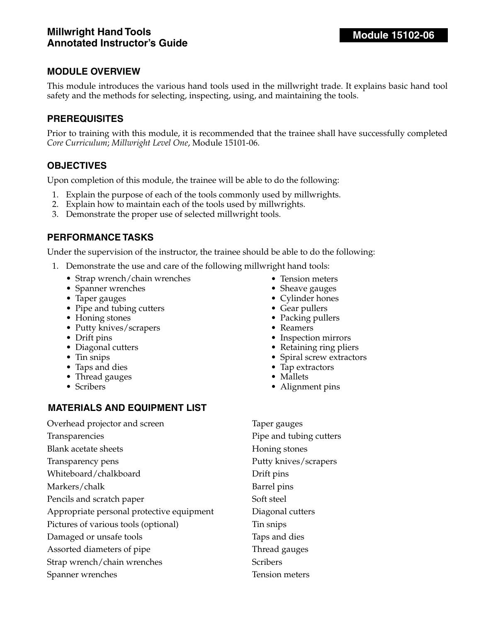This module introduces the various hand tools used in the millwright trade. It explains basic hand tool safety and the methods for selecting, inspecting, using, and maintaining the tools.

## **PREREQUISITES**

Prior to training with this module, it is recommended that the trainee shall have successfully completed *Core Curriculum*; *Millwright Level One*, Module 15101-06.

#### **OBJECTIVES**

Upon completion of this module, the trainee will be able to do the following:

- 1. Explain the purpose of each of the tools commonly used by millwrights.
- 2. Explain how to maintain each of the tools used by millwrights.
- 3. Demonstrate the proper use of selected millwright tools.

#### **PERFORMANCE TASKS**

Under the supervision of the instructor, the trainee should be able to do the following:

- 1. Demonstrate the use and care of the following millwright hand tools:
	- Strap wrench/chain wrenches
	- Spanner wrenches
	- Taper gauges
	- Pipe and tubing cutters
	- Honing stones
	- Putty knives/scrapers
	- Drift pins
	- Diagonal cutters
	- Tin snips
	- Taps and dies
	- Thread gauges
	- Scribers

## **MATERIALS AND EQUIPMENT LIST**

Overhead projector and screen

Transparencies

Blank acetate sheets

Transparency pens

Whiteboard/chalkboard

Markers/chalk

Pencils and scratch paper

Appropriate personal protective equipment

Pictures of various tools (optional)

- Damaged or unsafe tools
- Assorted diameters of pipe

Strap wrench/chain wrenches

Spanner wrenches

- Tension meters
- Sheave gauges
- Cylinder hones
- Gear pullers
- Packing pullers
- Reamers
- Inspection mirrors
- Retaining ring pliers
- Spiral screw extractors
- Tap extractors
- Mallets
- Alignment pins

Taper gauges Pipe and tubing cutters Honing stones Putty knives/scrapers Drift pins Barrel pins Soft steel Diagonal cutters Tin snips Taps and dies Thread gauges **Scribers** Tension meters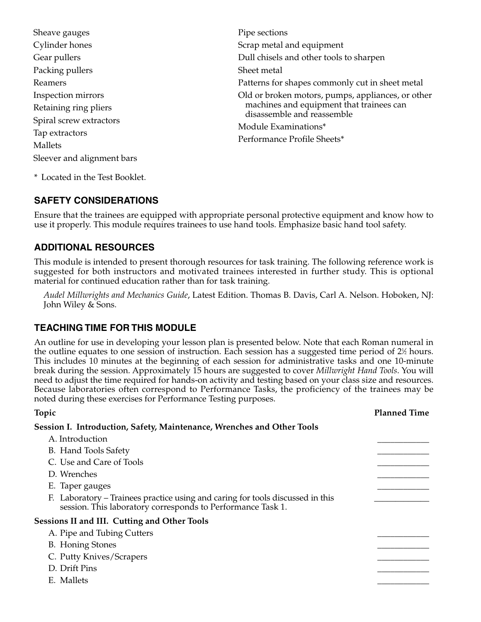| Sheave gauges              | Pipe sections                                                          |
|----------------------------|------------------------------------------------------------------------|
| Cylinder hones             | Scrap metal and equipment                                              |
| Gear pullers               | Dull chisels and other tools to sharpen                                |
| Packing pullers            | Sheet metal                                                            |
| Reamers                    | Patterns for shapes commonly cut in sheet metal                        |
| Inspection mirrors         | Old or broken motors, pumps, appliances, or other                      |
| Retaining ring pliers      | machines and equipment that trainees can<br>disassemble and reassemble |
| Spiral screw extractors    |                                                                        |
| Tap extractors             | Module Examinations*                                                   |
| Mallets                    | Performance Profile Sheets*                                            |
| Sleever and alignment bars |                                                                        |
|                            |                                                                        |

\* Located in the Test Booklet.

# **SAFETY CONSIDERATIONS**

Ensure that the trainees are equipped with appropriate personal protective equipment and know how to use it properly. This module requires trainees to use hand tools. Emphasize basic hand tool safety.

# **ADDITIONAL RESOURCES**

This module is intended to present thorough resources for task training. The following reference work is suggested for both instructors and motivated trainees interested in further study. This is optional material for continued education rather than for task training.

*Audel Millwrights and Mechanics Guide*, Latest Edition. Thomas B. Davis, Carl A. Nelson. Hoboken, NJ: John Wiley & Sons.

# **TEACHING TIME FOR THIS MODULE**

An outline for use in developing your lesson plan is presented below. Note that each Roman numeral in the outline equates to one session of instruction. Each session has a suggested time period of  $2\%$  hours. This includes 10 minutes at the beginning of each session for administrative tasks and one 10-minute break during the session. Approximately 15 hours are suggested to cover *Millwright Hand Tools*. You will need to adjust the time required for hands-on activity and testing based on your class size and resources. Because laboratories often correspond to Performance Tasks, the proficiency of the trainees may be noted during these exercises for Performance Testing purposes.

| Topic                                                                                                                                         | <b>Planned Time</b> |
|-----------------------------------------------------------------------------------------------------------------------------------------------|---------------------|
| Session I. Introduction, Safety, Maintenance, Wrenches and Other Tools                                                                        |                     |
| A. Introduction                                                                                                                               |                     |
| B. Hand Tools Safety                                                                                                                          |                     |
| C. Use and Care of Tools                                                                                                                      |                     |
| D. Wrenches                                                                                                                                   |                     |
| E. Taper gauges                                                                                                                               |                     |
| F. Laboratory – Trainees practice using and caring for tools discussed in this<br>session. This laboratory corresponds to Performance Task 1. |                     |
| <b>Sessions II and III. Cutting and Other Tools</b>                                                                                           |                     |
| A. Pipe and Tubing Cutters                                                                                                                    |                     |
| <b>B.</b> Honing Stones                                                                                                                       |                     |
| C. Putty Knives/Scrapers                                                                                                                      |                     |
| D. Drift Pins                                                                                                                                 |                     |
| E. Mallets                                                                                                                                    |                     |
|                                                                                                                                               |                     |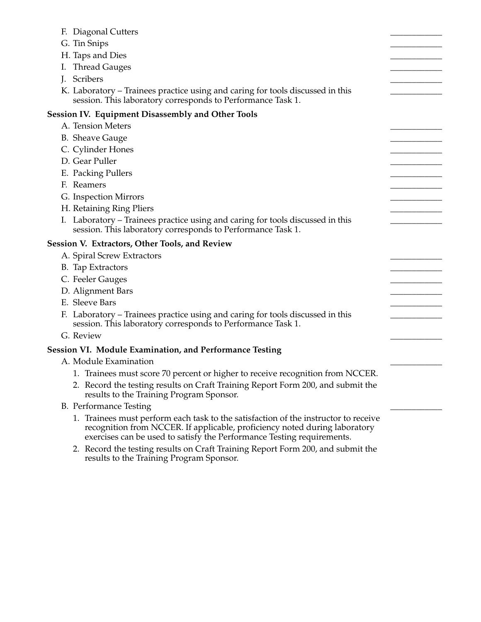| F. Diagonal Cutters                                                                                                                                                                                                                         |  |
|---------------------------------------------------------------------------------------------------------------------------------------------------------------------------------------------------------------------------------------------|--|
| G. Tin Snips                                                                                                                                                                                                                                |  |
| H. Taps and Dies                                                                                                                                                                                                                            |  |
| Thread Gauges<br>T.                                                                                                                                                                                                                         |  |
| J. Scribers                                                                                                                                                                                                                                 |  |
| K. Laboratory – Trainees practice using and caring for tools discussed in this<br>session. This laboratory corresponds to Performance Task 1.                                                                                               |  |
| <b>Session IV. Equipment Disassembly and Other Tools</b>                                                                                                                                                                                    |  |
| A. Tension Meters                                                                                                                                                                                                                           |  |
| <b>B.</b> Sheave Gauge                                                                                                                                                                                                                      |  |
| C. Cylinder Hones                                                                                                                                                                                                                           |  |
| D. Gear Puller                                                                                                                                                                                                                              |  |
| E. Packing Pullers                                                                                                                                                                                                                          |  |
| F. Reamers                                                                                                                                                                                                                                  |  |
| G. Inspection Mirrors                                                                                                                                                                                                                       |  |
| H. Retaining Ring Pliers                                                                                                                                                                                                                    |  |
| I. Laboratory - Trainees practice using and caring for tools discussed in this                                                                                                                                                              |  |
| session. This laboratory corresponds to Performance Task 1.                                                                                                                                                                                 |  |
| Session V. Extractors, Other Tools, and Review                                                                                                                                                                                              |  |
| A. Spiral Screw Extractors                                                                                                                                                                                                                  |  |
| B. Tap Extractors                                                                                                                                                                                                                           |  |
| C. Feeler Gauges                                                                                                                                                                                                                            |  |
| D. Alignment Bars                                                                                                                                                                                                                           |  |
| E. Sleeve Bars                                                                                                                                                                                                                              |  |
| F. Laboratory – Trainees practice using and caring for tools discussed in this<br>session. This laboratory corresponds to Performance Task 1.                                                                                               |  |
| G. Review                                                                                                                                                                                                                                   |  |
| <b>Session VI. Module Examination, and Performance Testing</b>                                                                                                                                                                              |  |
| A. Module Examination                                                                                                                                                                                                                       |  |
| 1. Trainees must score 70 percent or higher to receive recognition from NCCER.                                                                                                                                                              |  |
| 2. Record the testing results on Craft Training Report Form 200, and submit the<br>results to the Training Program Sponsor.                                                                                                                 |  |
| <b>B.</b> Performance Testing                                                                                                                                                                                                               |  |
| 1. Trainees must perform each task to the satisfaction of the instructor to receive<br>recognition from NCCER. If applicable, proficiency noted during laboratory<br>exercises can be used to satisfy the Performance Testing requirements. |  |
| 2. Record the testing results on Craft Training Report Form 200, and submit the<br>results to the Training Program Sponsor.                                                                                                                 |  |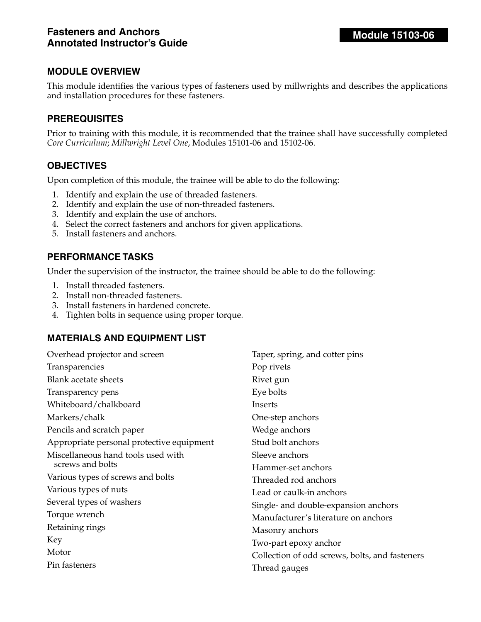This module identifies the various types of fasteners used by millwrights and describes the applications and installation procedures for these fasteners.

## **PREREQUISITES**

Prior to training with this module, it is recommended that the trainee shall have successfully completed *Core Curriculum*; *Millwright Level One*, Modules 15101-06 and 15102-06.

#### **OBJECTIVES**

Upon completion of this module, the trainee will be able to do the following:

- 1. Identify and explain the use of threaded fasteners.
- 2. Identify and explain the use of non-threaded fasteners.
- 3. Identify and explain the use of anchors.
- 4. Select the correct fasteners and anchors for given applications.
- 5. Install fasteners and anchors.

#### **PERFORMANCE TASKS**

Under the supervision of the instructor, the trainee should be able to do the following:

- 1. Install threaded fasteners.
- 2. Install non-threaded fasteners.
- 3. Install fasteners in hardened concrete.
- 4. Tighten bolts in sequence using proper torque.

## **MATERIALS AND EQUIPMENT LIST**

| Overhead projector and screen             | Taper, spring, and cotter pins                 |
|-------------------------------------------|------------------------------------------------|
| Transparencies                            | Pop rivets                                     |
| <b>Blank acetate sheets</b>               | Rivet gun                                      |
| Transparency pens                         | Eye bolts                                      |
| Whiteboard/chalkboard                     | Inserts                                        |
| Markers/chalk                             | One-step anchors                               |
| Pencils and scratch paper                 | Wedge anchors                                  |
| Appropriate personal protective equipment | Stud bolt anchors                              |
| Miscellaneous hand tools used with        | Sleeve anchors                                 |
| screws and bolts                          | Hammer-set anchors                             |
| Various types of screws and bolts         | Threaded rod anchors                           |
| Various types of nuts                     | Lead or caulk-in anchors                       |
| Several types of washers                  | Single- and double-expansion anchors           |
| Torque wrench                             | Manufacturer's literature on anchors           |
| Retaining rings                           | Masonry anchors                                |
| Key                                       | Two-part epoxy anchor                          |
| Motor                                     | Collection of odd screws, bolts, and fasteners |
| Pin fasteners                             | Thread gauges                                  |
|                                           |                                                |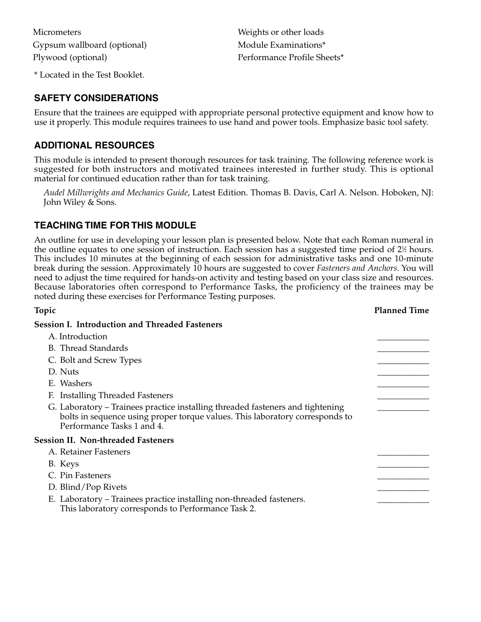**Micrometers** Gypsum wallboard (optional) Plywood (optional)

\* Located in the Test Booklet.

Weights or other loads Module Examinations\* Performance Profile Sheets\*

#### **SAFETY CONSIDERATIONS**

Ensure that the trainees are equipped with appropriate personal protective equipment and know how to use it properly. This module requires trainees to use hand and power tools. Emphasize basic tool safety.

#### **ADDITIONAL RESOURCES**

This module is intended to present thorough resources for task training. The following reference work is suggested for both instructors and motivated trainees interested in further study. This is optional material for continued education rather than for task training.

*Audel Millwrights and Mechanics Guide*, Latest Edition. Thomas B. Davis, Carl A. Nelson. Hoboken, NJ: John Wiley & Sons.

## **TEACHING TIME FOR THIS MODULE**

An outline for use in developing your lesson plan is presented below. Note that each Roman numeral in the outline equates to one session of instruction. Each session has a suggested time period of 2½ hours. This includes 10 minutes at the beginning of each session for administrative tasks and one 10-minute break during the session. Approximately 10 hours are suggested to cover *Fasteners and Anchors*. You will need to adjust the time required for hands-on activity and testing based on your class size and resources. Because laboratories often correspond to Performance Tasks, the proficiency of the trainees may be noted during these exercises for Performance Testing purposes.

| Topic                                                                                                                                                                                        | <b>Planned Time</b> |
|----------------------------------------------------------------------------------------------------------------------------------------------------------------------------------------------|---------------------|
| <b>Session I. Introduction and Threaded Fasteners</b>                                                                                                                                        |                     |
| A. Introduction                                                                                                                                                                              |                     |
| <b>B.</b> Thread Standards                                                                                                                                                                   |                     |
| C. Bolt and Screw Types                                                                                                                                                                      |                     |
| D. Nuts                                                                                                                                                                                      |                     |
| E. Washers                                                                                                                                                                                   |                     |
| F. Installing Threaded Fasteners                                                                                                                                                             |                     |
| G. Laboratory – Trainees practice installing threaded fasteners and tightening<br>bolts in sequence using proper torque values. This laboratory corresponds to<br>Performance Tasks 1 and 4. |                     |
| <b>Session II. Non-threaded Fasteners</b>                                                                                                                                                    |                     |
| A. Retainer Fasteners                                                                                                                                                                        |                     |
| B. Keys                                                                                                                                                                                      |                     |
| C. Pin Fasteners                                                                                                                                                                             |                     |
| D. Blind/Pop Rivets                                                                                                                                                                          |                     |
| E. Laboratory – Trainees practice installing non-threaded fasteners.<br>This laboratory corresponds to Performance Task 2.                                                                   |                     |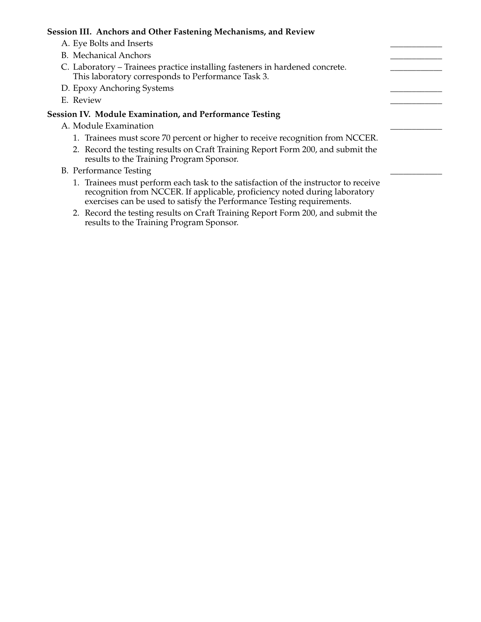#### **Session III. Anchors and Other Fastening Mechanisms, and Review**

- A. Eye Bolts and Inserts
- B. Mechanical Anchors
- C. Laboratory Trainees practice installing fasteners in hardened concrete. This laboratory corresponds to Performance Task 3.
- D. Epoxy Anchoring Systems
- E. Review \_\_\_\_\_\_\_\_\_\_\_\_

#### **Session IV. Module Examination, and Performance Testing**

- A. Module Examination
	- 1. Trainees must score 70 percent or higher to receive recognition from NCCER.
	- 2. Record the testing results on Craft Training Report Form 200, and submit the results to the Training Program Sponsor.
- B. Performance Testing
	- 1. Trainees must perform each task to the satisfaction of the instructor to receive recognition from NCCER. If applicable, proficiency noted during laboratory exercises can be used to satisfy the Performance Testing requirements.
	- 2. Record the testing results on Craft Training Report Form 200, and submit the results to the Training Program Sponsor.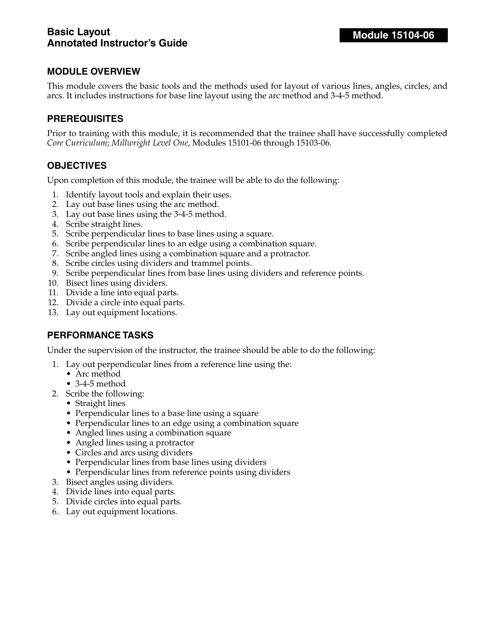This module covers the basic tools and the methods used for layout of various lines, angles, circles, and arcs. It includes instructions for base line layout using the arc method and 3-4-5 method.

## **PREREQUISITES**

Prior to training with this module, it is recommended that the trainee shall have successfully completed *Core Curriculum*; *Millwright Level One*, Modules 15101-06 through 15103-06.

## **OBJECTIVES**

Upon completion of this module, the trainee will be able to do the following:

- 1. Identify layout tools and explain their uses.
- 2. Lay out base lines using the arc method.
- 3. Lay out base lines using the 3-4-5 method.
- 4. Scribe straight lines.
- 5. Scribe perpendicular lines to base lines using a square.
- 6. Scribe perpendicular lines to an edge using a combination square.
- 7. Scribe angled lines using a combination square and a protractor.
- 8. Scribe circles using dividers and trammel points.
- 9. Scribe perpendicular lines from base lines using dividers and reference points.
- 10. Bisect lines using dividers.
- 11. Divide a line into equal parts.
- 12. Divide a circle into equal parts.
- 13. Lay out equipment locations.

## **PERFORMANCE TASKS**

Under the supervision of the instructor, the trainee should be able to do the following:

- 1. Lay out perpendicular lines from a reference line using the:
	- Arc method
	- 3-4-5 method
- 2. Scribe the following:
	- Straight lines
	- Perpendicular lines to a base line using a square
	- Perpendicular lines to an edge using a combination square
	- Angled lines using a combination square
	- Angled lines using a protractor
	- Circles and arcs using dividers
	- Perpendicular lines from base lines using dividers
	- Perpendicular lines from reference points using dividers
- 3. Bisect angles using dividers.
- 4. Divide lines into equal parts.
- 5. Divide circles into equal parts.
- 6. Lay out equipment locations.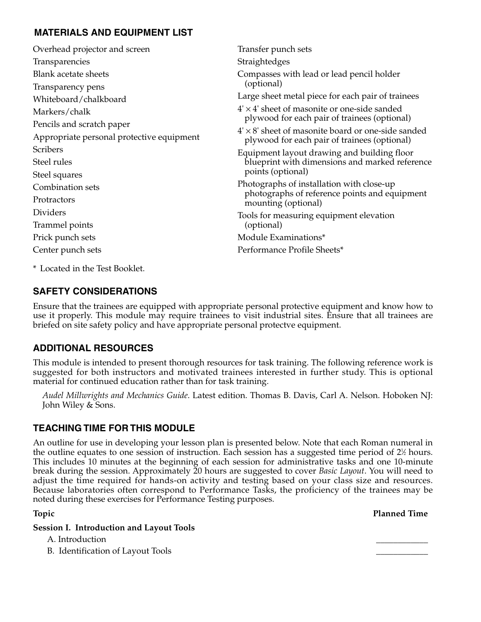# **MATERIALS AND EQUIPMENT LIST**

| Overhead projector and screen             | Transfer punch sets                                                                                       |
|-------------------------------------------|-----------------------------------------------------------------------------------------------------------|
| Transparencies                            | Straightedges                                                                                             |
| Blank acetate sheets                      | Compasses with lead or lead pencil holder                                                                 |
| Transparency pens                         | (optional)                                                                                                |
| Whiteboard/chalkboard                     | Large sheet metal piece for each pair of trainees                                                         |
| Markers/chalk                             | $4' \times 4'$ sheet of masonite or one-side sanded                                                       |
| Pencils and scratch paper                 | plywood for each pair of trainees (optional)                                                              |
| Appropriate personal protective equipment | $4' \times 8'$ sheet of masonite board or one-side sanded<br>plywood for each pair of trainees (optional) |
| <b>Scribers</b>                           | Equipment layout drawing and building floor                                                               |
| Steel rules                               | blueprint with dimensions and marked reference                                                            |
| Steel squares                             | points (optional)                                                                                         |
| Combination sets                          | Photographs of installation with close-up                                                                 |
| Protractors                               | photographs of reference points and equipment<br>mounting (optional)                                      |
| Dividers                                  | Tools for measuring equipment elevation                                                                   |
| Trammel points                            | (optional)                                                                                                |
| Prick punch sets                          | Module Examinations*                                                                                      |
| Center punch sets                         | Performance Profile Sheets*                                                                               |
|                                           |                                                                                                           |

\* Located in the Test Booklet.

# **SAFETY CONSIDERATIONS**

Ensure that the trainees are equipped with appropriate personal protective equipment and know how to use it properly. This module may require trainees to visit industrial sites. Ensure that all trainees are briefed on site safety policy and have appropriate personal protectve equipment.

# **ADDITIONAL RESOURCES**

This module is intended to present thorough resources for task training. The following reference work is suggested for both instructors and motivated trainees interested in further study. This is optional material for continued education rather than for task training.

*Audel Millwrights and Mechanics Guide*. Latest edition. Thomas B. Davis, Carl A. Nelson. Hoboken NJ: John Wiley & Sons.

# **TEACHING TIME FOR THIS MODULE**

An outline for use in developing your lesson plan is presented below. Note that each Roman numeral in the outline equates to one session of instruction. Each session has a suggested time period of 2½ hours. This includes 10 minutes at the beginning of each session for administrative tasks and one 10-minute break during the session. Approximately 20 hours are suggested to cover *Basic Layout*. You will need to adjust the time required for hands-on activity and testing based on your class size and resources. Because laboratories often correspond to Performance Tasks, the proficiency of the trainees may be noted during these exercises for Performance Testing purposes.

**Topic Planned Time**

#### **Session I. Introduction and Layout Tools**

A. Introduction

B. Identification of Layout Tools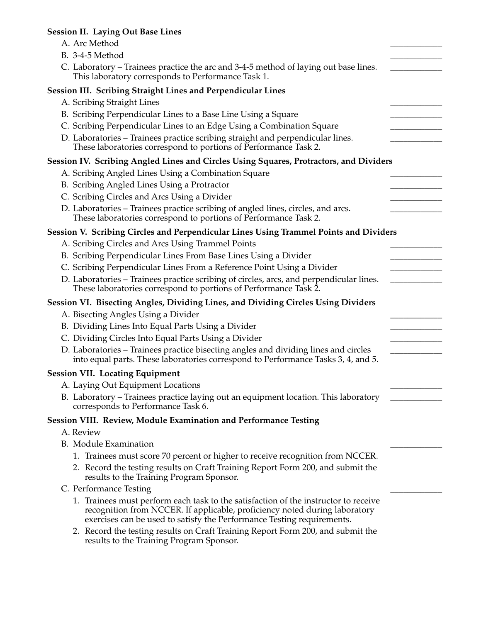# **Session II. Laying Out Base Lines**

| A. Arc Method                                                                                                                                                                                                                               |  |
|---------------------------------------------------------------------------------------------------------------------------------------------------------------------------------------------------------------------------------------------|--|
| B. 3-4-5 Method                                                                                                                                                                                                                             |  |
| C. Laboratory – Trainees practice the arc and 3-4-5 method of laying out base lines.<br>This laboratory corresponds to Performance Task 1.                                                                                                  |  |
| Session III. Scribing Straight Lines and Perpendicular Lines                                                                                                                                                                                |  |
| A. Scribing Straight Lines                                                                                                                                                                                                                  |  |
| B. Scribing Perpendicular Lines to a Base Line Using a Square                                                                                                                                                                               |  |
| C. Scribing Perpendicular Lines to an Edge Using a Combination Square                                                                                                                                                                       |  |
| D. Laboratories - Trainees practice scribing straight and perpendicular lines.<br>These laboratories correspond to portions of Performance Task 2.                                                                                          |  |
| Session IV. Scribing Angled Lines and Circles Using Squares, Protractors, and Dividers                                                                                                                                                      |  |
| A. Scribing Angled Lines Using a Combination Square                                                                                                                                                                                         |  |
| B. Scribing Angled Lines Using a Protractor                                                                                                                                                                                                 |  |
| C. Scribing Circles and Arcs Using a Divider                                                                                                                                                                                                |  |
| D. Laboratories - Trainees practice scribing of angled lines, circles, and arcs.<br>These laboratories correspond to portions of Performance Task 2.                                                                                        |  |
| Session V. Scribing Circles and Perpendicular Lines Using Trammel Points and Dividers                                                                                                                                                       |  |
| A. Scribing Circles and Arcs Using Trammel Points                                                                                                                                                                                           |  |
| B. Scribing Perpendicular Lines From Base Lines Using a Divider                                                                                                                                                                             |  |
| C. Scribing Perpendicular Lines From a Reference Point Using a Divider                                                                                                                                                                      |  |
| D. Laboratories - Trainees practice scribing of circles, arcs, and perpendicular lines.<br>These laboratories correspond to portions of Performance Task 2.                                                                                 |  |
| Session VI. Bisecting Angles, Dividing Lines, and Dividing Circles Using Dividers                                                                                                                                                           |  |
| A. Bisecting Angles Using a Divider                                                                                                                                                                                                         |  |
| B. Dividing Lines Into Equal Parts Using a Divider                                                                                                                                                                                          |  |
| C. Dividing Circles Into Equal Parts Using a Divider                                                                                                                                                                                        |  |
| D. Laboratories - Trainees practice bisecting angles and dividing lines and circles<br>into equal parts. These laboratories correspond to Performance Tasks 3, 4, and 5.                                                                    |  |
| <b>Session VII. Locating Equipment</b>                                                                                                                                                                                                      |  |
| A. Laying Out Equipment Locations                                                                                                                                                                                                           |  |
| B. Laboratory - Trainees practice laying out an equipment location. This laboratory<br>corresponds to Performance Task 6.                                                                                                                   |  |
| Session VIII. Review, Module Examination and Performance Testing                                                                                                                                                                            |  |
| A. Review                                                                                                                                                                                                                                   |  |
| <b>B.</b> Module Examination                                                                                                                                                                                                                |  |
| 1. Trainees must score 70 percent or higher to receive recognition from NCCER.                                                                                                                                                              |  |
| 2. Record the testing results on Craft Training Report Form 200, and submit the<br>results to the Training Program Sponsor.                                                                                                                 |  |
| C. Performance Testing                                                                                                                                                                                                                      |  |
| 1. Trainees must perform each task to the satisfaction of the instructor to receive<br>recognition from NCCER. If applicable, proficiency noted during laboratory<br>exercises can be used to satisfy the Performance Testing requirements. |  |
| 2. Record the testing results on Craft Training Report Form 200, and submit the<br>results to the Training Program Sponsor.                                                                                                                 |  |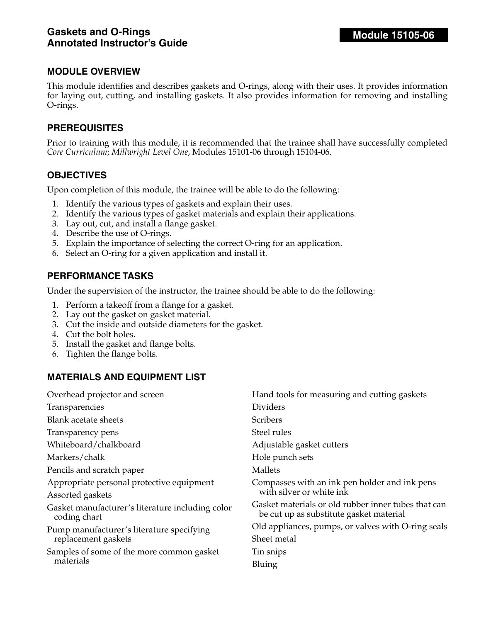This module identifies and describes gaskets and O-rings, along with their uses. It provides information for laying out, cutting, and installing gaskets. It also provides information for removing and installing O-rings.

#### **PREREQUISITES**

Prior to training with this module, it is recommended that the trainee shall have successfully completed *Core Curriculum*; *Millwright Level One*, Modules 15101-06 through 15104-06.

#### **OBJECTIVES**

Upon completion of this module, the trainee will be able to do the following:

- 1. Identify the various types of gaskets and explain their uses.
- 2. Identify the various types of gasket materials and explain their applications.
- 3. Lay out, cut, and install a flange gasket.
- 4. Describe the use of O-rings.
- 5. Explain the importance of selecting the correct O-ring for an application.
- 6. Select an O-ring for a given application and install it.

#### **PERFORMANCE TASKS**

Under the supervision of the instructor, the trainee should be able to do the following:

- 1. Perform a takeoff from a flange for a gasket.
- 2. Lay out the gasket on gasket material.
- 3. Cut the inside and outside diameters for the gasket.
- 4. Cut the bolt holes.
- 5. Install the gasket and flange bolts.
- 6. Tighten the flange bolts.

## **MATERIALS AND EQUIPMENT LIST**

| Overhead projector and screen                                    | Hand tools for measuring and cutting gaskets                                                   |
|------------------------------------------------------------------|------------------------------------------------------------------------------------------------|
| Transparencies                                                   | Dividers                                                                                       |
| Blank acetate sheets                                             | <b>Scribers</b>                                                                                |
| Transparency pens                                                | Steel rules                                                                                    |
| Whiteboard/chalkboard                                            | Adjustable gasket cutters                                                                      |
| Markers/chalk                                                    | Hole punch sets                                                                                |
| Pencils and scratch paper                                        | Mallets                                                                                        |
| Appropriate personal protective equipment                        | Compasses with an ink pen holder and ink pens                                                  |
| Assorted gaskets                                                 | with silver or white ink                                                                       |
| Gasket manufacturer's literature including color<br>coding chart | Gasket materials or old rubber inner tubes that can<br>be cut up as substitute gasket material |
| Pump manufacturer's literature specifying<br>replacement gaskets | Old appliances, pumps, or valves with O-ring seals<br>Sheet metal                              |
| Samples of some of the more common gasket<br>materials           | Tin snips<br>Bluing                                                                            |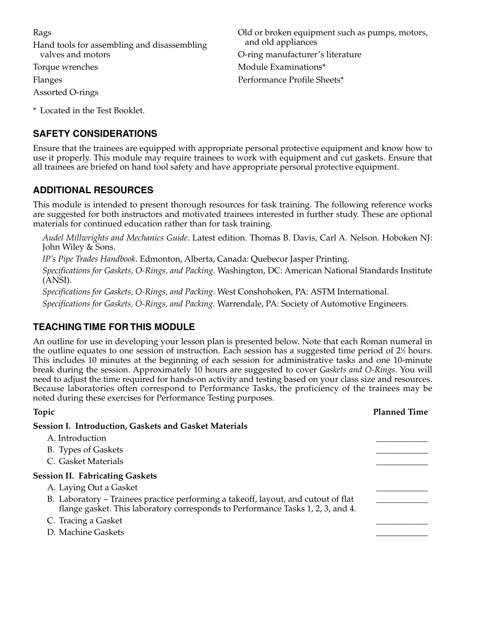Rags Hand tools for assembling and disassembling valves and motors Torque wrenches Flanges Assorted O-rings Old or broken equipment such as pumps, motors, and old appliances O-ring manufacturer's literature Module Examinations\* Performance Profile Sheets\*

\* Located in the Test Booklet.

# **SAFETY CONSIDERATIONS**

Ensure that the trainees are equipped with appropriate personal protective equipment and know how to use it properly. This module may require trainees to work with equipment and cut gaskets. Ensure that all trainees are briefed on hand tool safety and have appropriate personal protective equipment.

# **ADDITIONAL RESOURCES**

This module is intended to present thorough resources for task training. The following reference works are suggested for both instructors and motivated trainees interested in further study. These are optional materials for continued education rather than for task training.

*Audel Millwrights and Mechanics Guide*. Latest edition. Thomas B. Davis, Carl A. Nelson. Hoboken NJ: John Wiley & Sons.

*IP's Pipe Trades Handbook*. Edmonton, Alberta, Canada: Quebecor Jasper Printing.

*Specifications for Gaskets, O-Rings, and Packing*. Washington, DC: American National Standards Institute (ANSI).

*Specifications for Gaskets, O-Rings, and Packing*. West Conshohoken, PA: ASTM International.

*Specifications for Gaskets, O-Rings, and Packing*. Warrendale, PA: Society of Automotive Engineers.

# **TEACHING TIME FOR THIS MODULE**

An outline for use in developing your lesson plan is presented below. Note that each Roman numeral in the outline equates to one session of instruction. Each session has a suggested time period of 2½ hours. This includes 10 minutes at the beginning of each session for administrative tasks and one 10-minute break during the session. Approximately 10 hours are suggested to cover *Gaskets and O-Rings*. You will need to adjust the time required for hands-on activity and testing based on your class size and resources. Because laboratories often correspond to Performance Tasks, the proficiency of the trainees may be noted during these exercises for Performance Testing purposes.

| Topic                                                                                                                                                                 | <b>Planned Time</b> |
|-----------------------------------------------------------------------------------------------------------------------------------------------------------------------|---------------------|
| Session I. Introduction, Gaskets and Gasket Materials                                                                                                                 |                     |
| A. Introduction                                                                                                                                                       |                     |
| B. Types of Gaskets                                                                                                                                                   |                     |
| C. Gasket Materials                                                                                                                                                   |                     |
| <b>Session II. Fabricating Gaskets</b>                                                                                                                                |                     |
| A. Laying Out a Gasket                                                                                                                                                |                     |
| B. Laboratory – Trainees practice performing a takeoff, layout, and cutout of flat<br>flange gasket. This laboratory corresponds to Performance Tasks 1, 2, 3, and 4. |                     |
| C. Tracing a Gasket                                                                                                                                                   |                     |
| D. Machine Gaskets                                                                                                                                                    |                     |
|                                                                                                                                                                       |                     |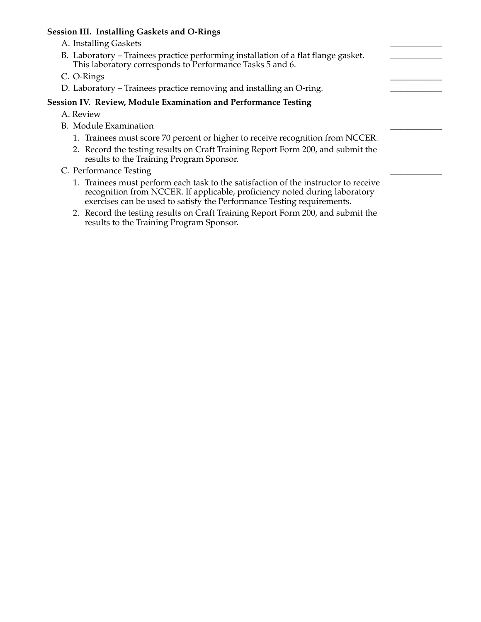#### **Session III. Installing Gaskets and O-Rings**

- A. Installing Gaskets
- B. Laboratory Trainees practice performing installation of a flat flange gasket. This laboratory corresponds to Performance Tasks 5 and 6.
- C. O-Rings
- D. Laboratory Trainees practice removing and installing an O-ring.

#### **Session IV. Review, Module Examination and Performance Testing**

- A. Review
- B. Module Examination
	- 1. Trainees must score 70 percent or higher to receive recognition from NCCER.
	- 2. Record the testing results on Craft Training Report Form 200, and submit the results to the Training Program Sponsor.
- C. Performance Testing
	- 1. Trainees must perform each task to the satisfaction of the instructor to receive recognition from NCCER. If applicable, proficiency noted during laboratory exercises can be used to satisfy the Performance Testing requirements.
	- 2. Record the testing results on Craft Training Report Form 200, and submit the results to the Training Program Sponsor.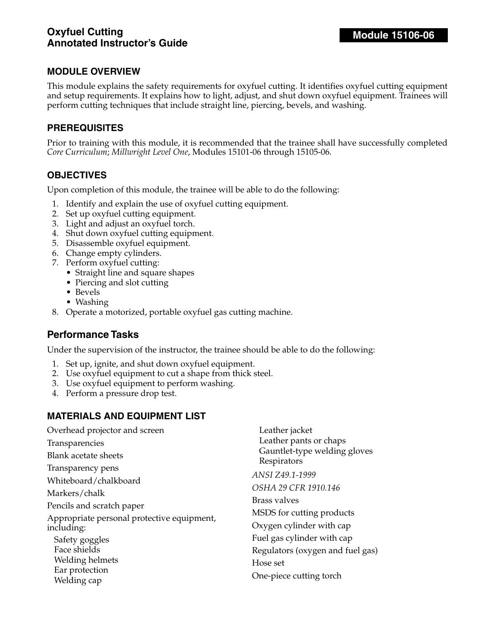This module explains the safety requirements for oxyfuel cutting. It identifies oxyfuel cutting equipment and setup requirements. It explains how to light, adjust, and shut down oxyfuel equipment. Trainees will perform cutting techniques that include straight line, piercing, bevels, and washing.

#### **PREREQUISITES**

Prior to training with this module, it is recommended that the trainee shall have successfully completed *Core Curriculum*; *Millwright Level One*, Modules 15101-06 through 15105-06.

## **OBJECTIVES**

Upon completion of this module, the trainee will be able to do the following:

- 1. Identify and explain the use of oxyfuel cutting equipment.
- 2. Set up oxyfuel cutting equipment.
- 3. Light and adjust an oxyfuel torch.
- 4. Shut down oxyfuel cutting equipment.
- 5. Disassemble oxyfuel equipment.
- 6. Change empty cylinders.
- 7. Perform oxyfuel cutting:
	- Straight line and square shapes
	- Piercing and slot cutting
	- Bevels
	- Washing
- 8. Operate a motorized, portable oxyfuel gas cutting machine.

## **Performance Tasks**

Under the supervision of the instructor, the trainee should be able to do the following:

- 1. Set up, ignite, and shut down oxyfuel equipment.
- 2. Use oxyfuel equipment to cut a shape from thick steel.
- 3. Use oxyfuel equipment to perform washing.
- 4. Perform a pressure drop test.

#### **MATERIALS AND EQUIPMENT LIST**

| Overhead projector and screen              | Leather jacket                              |
|--------------------------------------------|---------------------------------------------|
| Transparencies                             | Leather pants or chaps                      |
| Blank acetate sheets                       | Gauntlet-type welding gloves<br>Respirators |
| Transparency pens                          | ANSI Z49.1-1999                             |
| Whiteboard/chalkboard                      |                                             |
| Markers/chalk                              | OSHA 29 CFR 1910.146                        |
| Pencils and scratch paper                  | Brass valves                                |
|                                            |                                             |
| Appropriate personal protective equipment, | MSDS for cutting products                   |
| including:                                 | Oxygen cylinder with cap                    |
| Safety goggles                             | Fuel gas cylinder with cap                  |
| Face shields                               | Regulators (oxygen and fuel gas)            |
| Welding helmets                            | Hose set                                    |
| Ear protection                             |                                             |
| Welding cap                                | One-piece cutting torch                     |
|                                            |                                             |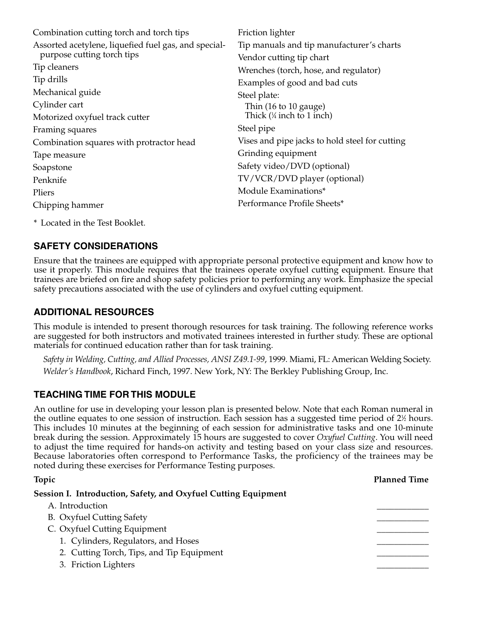Combination cutting torch and torch tips Assorted acetylene, liquefied fuel gas, and specialpurpose cutting torch tips Tip cleaners Tip drills Mechanical guide Cylinder cart Motorized oxyfuel track cutter Framing squares Combination squares with protractor head Tape measure Soapstone Penknife Pliers Chipping hammer Friction lighter Tip manuals and tip manufacturer's charts Vendor cutting tip chart Wrenches (torch, hose, and regulator) Examples of good and bad cuts Steel plate: Thin (16 to 10 gauge) Thick (1 ⁄4 inch to 1 inch) Steel pipe Vises and pipe jacks to hold steel for cutting Grinding equipment Safety video/DVD (optional) TV/VCR/DVD player (optional) Module Examinations\* Performance Profile Sheets\*

\* Located in the Test Booklet.

# **SAFETY CONSIDERATIONS**

Ensure that the trainees are equipped with appropriate personal protective equipment and know how to use it properly. This module requires that the trainees operate oxyfuel cutting equipment. Ensure that trainees are briefed on fire and shop safety policies prior to performing any work. Emphasize the special safety precautions associated with the use of cylinders and oxyfuel cutting equipment.

# **ADDITIONAL RESOURCES**

This module is intended to present thorough resources for task training. The following reference works are suggested for both instructors and motivated trainees interested in further study. These are optional materials for continued education rather than for task training.

*Safety in Welding, Cutting, and Allied Processes, ANSI Z49.1-99*, 1999. Miami, FL: American Welding Society. *Welder's Handbook*, Richard Finch, 1997. New York, NY: The Berkley Publishing Group, Inc.

# **TEACHING TIME FOR THIS MODULE**

An outline for use in developing your lesson plan is presented below. Note that each Roman numeral in the outline equates to one session of instruction. Each session has a suggested time period of 2½ hours. This includes 10 minutes at the beginning of each session for administrative tasks and one 10-minute break during the session. Approximately 15 hours are suggested to cover *Oxyfuel Cutting*. You will need to adjust the time required for hands-on activity and testing based on your class size and resources. Because laboratories often correspond to Performance Tasks, the proficiency of the trainees may be noted during these exercises for Performance Testing purposes.

| Topic                                                          | <b>Planned Time</b> |
|----------------------------------------------------------------|---------------------|
| Session I. Introduction, Safety, and Oxyfuel Cutting Equipment |                     |
| A. Introduction                                                |                     |
| <b>B.</b> Oxyfuel Cutting Safety                               |                     |
| C. Oxyfuel Cutting Equipment                                   |                     |
| 1. Cylinders, Regulators, and Hoses                            |                     |
| 2. Cutting Torch, Tips, and Tip Equipment                      |                     |
| 3. Friction Lighters                                           |                     |
|                                                                |                     |